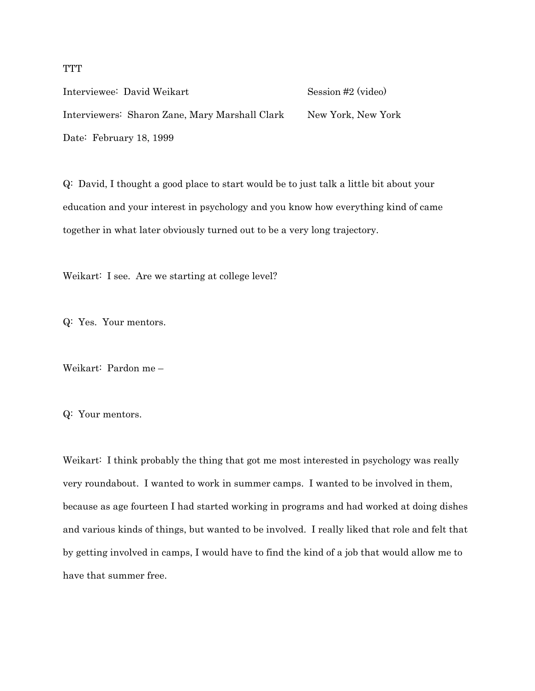**TTT** 

Interviewee: David Weikart Session #2 (video) Interviewers: Sharon Zane, Mary Marshall Clark New York, New York Date: February 18, 1999

Q: David, I thought a good place to start would be to just talk a little bit about your education and your interest in psychology and you know how everything kind of came together in what later obviously turned out to be a very long trajectory.

Weikart: I see. Are we starting at college level?

Q: Yes. Your mentors.

Weikart: Pardon me –

Q: Your mentors.

Weikart: I think probably the thing that got me most interested in psychology was really very roundabout. I wanted to work in summer camps. I wanted to be involved in them, because as age fourteen I had started working in programs and had worked at doing dishes and various kinds of things, but wanted to be involved. I really liked that role and felt that by getting involved in camps, I would have to find the kind of a job that would allow me to have that summer free.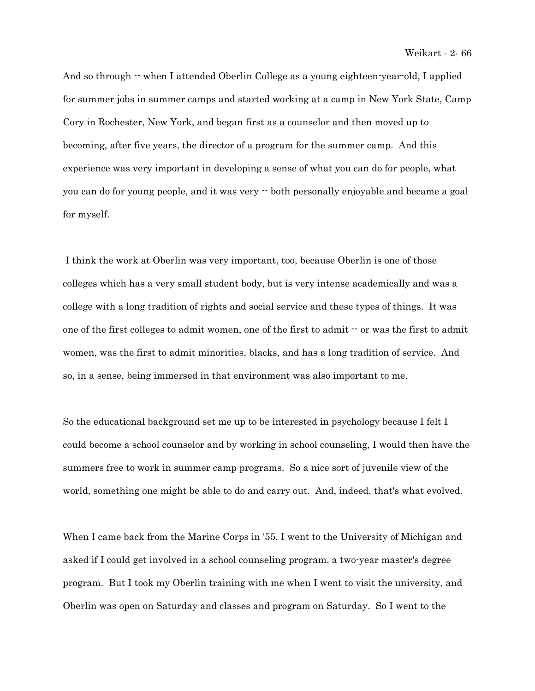And so through  $\cdot\cdot$  when I attended Oberlin College as a young eighteen-year-old, I applied for summer jobs in summer camps and started working at a camp in New York State, Camp Cory in Rochester, New York, and began first as a counselor and then moved up to becoming, after five years, the director of a program for the summer camp. And this experience was very important in developing a sense of what you can do for people, what you can do for young people, and it was very -- both personally enjoyable and became a goal for myself.

 I think the work at Oberlin was very important, too, because Oberlin is one of those colleges which has a very small student body, but is very intense academically and was a college with a long tradition of rights and social service and these types of things. It was one of the first colleges to admit women, one of the first to admit -- or was the first to admit women, was the first to admit minorities, blacks, and has a long tradition of service. And so, in a sense, being immersed in that environment was also important to me.

So the educational background set me up to be interested in psychology because I felt I could become a school counselor and by working in school counseling, I would then have the summers free to work in summer camp programs. So a nice sort of juvenile view of the world, something one might be able to do and carry out. And, indeed, that's what evolved.

When I came back from the Marine Corps in '55, I went to the University of Michigan and asked if I could get involved in a school counseling program, a two-year master's degree program. But I took my Oberlin training with me when I went to visit the university, and Oberlin was open on Saturday and classes and program on Saturday. So I went to the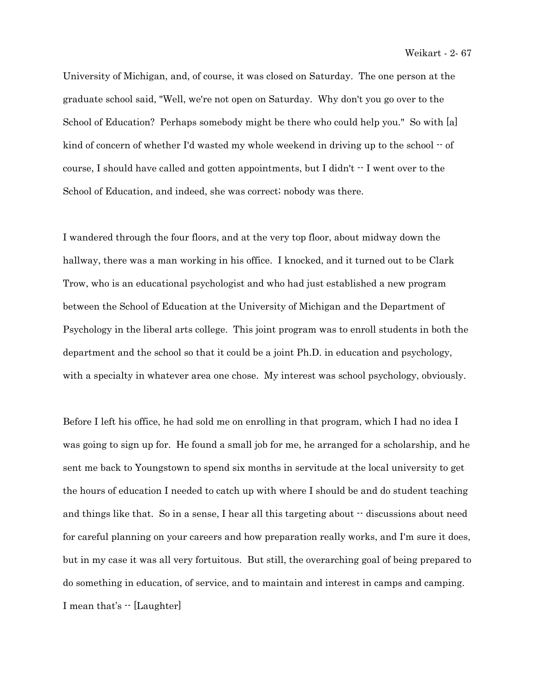University of Michigan, and, of course, it was closed on Saturday. The one person at the graduate school said, "Well, we're not open on Saturday. Why don't you go over to the School of Education? Perhaps somebody might be there who could help you." So with [a] kind of concern of whether I'd wasted my whole weekend in driving up to the school  $-$  of course, I should have called and gotten appointments, but I didn't  $\cdot$  I went over to the School of Education, and indeed, she was correct; nobody was there.

I wandered through the four floors, and at the very top floor, about midway down the hallway, there was a man working in his office. I knocked, and it turned out to be Clark Trow, who is an educational psychologist and who had just established a new program between the School of Education at the University of Michigan and the Department of Psychology in the liberal arts college. This joint program was to enroll students in both the department and the school so that it could be a joint Ph.D. in education and psychology, with a specialty in whatever area one chose. My interest was school psychology, obviously.

Before I left his office, he had sold me on enrolling in that program, which I had no idea I was going to sign up for. He found a small job for me, he arranged for a scholarship, and he sent me back to Youngstown to spend six months in servitude at the local university to get the hours of education I needed to catch up with where I should be and do student teaching and things like that. So in a sense, I hear all this targeting about  $\cdot$  discussions about need for careful planning on your careers and how preparation really works, and I'm sure it does, but in my case it was all very fortuitous. But still, the overarching goal of being prepared to do something in education, of service, and to maintain and interest in camps and camping. I mean that's -- [Laughter]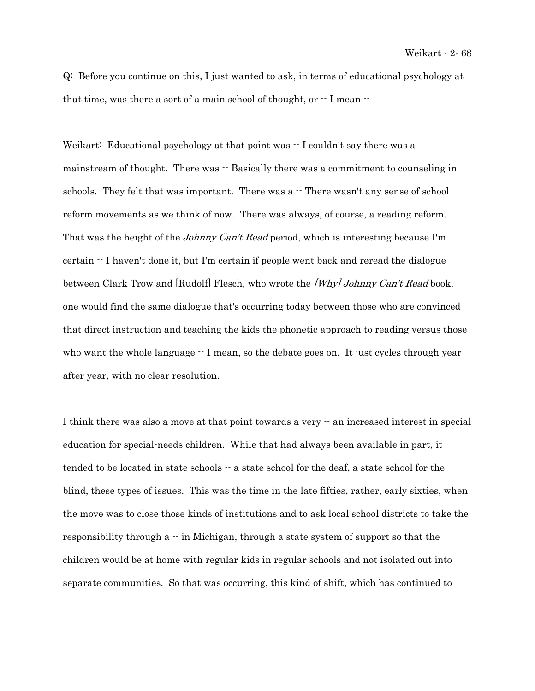Q: Before you continue on this, I just wanted to ask, in terms of educational psychology at that time, was there a sort of a main school of thought, or  $-1$  mean  $-$ 

Weikart: Educational psychology at that point was  $\cdot$  I couldn't say there was a mainstream of thought. There was  $-$  Basically there was a commitment to counseling in schools. They felt that was important. There was a  $-$  There wasn't any sense of school reform movements as we think of now. There was always, of course, a reading reform. That was the height of the *Johnny Can't Read* period, which is interesting because I'm certain -- I haven't done it, but I'm certain if people went back and reread the dialogue between Clark Trow and [Rudolf] Flesch, who wrote the [Why] Johnny Can't Read book, one would find the same dialogue that's occurring today between those who are convinced that direct instruction and teaching the kids the phonetic approach to reading versus those who want the whole language  $\cdot$  I mean, so the debate goes on. It just cycles through year after year, with no clear resolution.

I think there was also a move at that point towards a very -- an increased interest in special education for special-needs children. While that had always been available in part, it tended to be located in state schools -- a state school for the deaf, a state school for the blind, these types of issues. This was the time in the late fifties, rather, early sixties, when the move was to close those kinds of institutions and to ask local school districts to take the responsibility through a  $\cdot \cdot$  in Michigan, through a state system of support so that the children would be at home with regular kids in regular schools and not isolated out into separate communities. So that was occurring, this kind of shift, which has continued to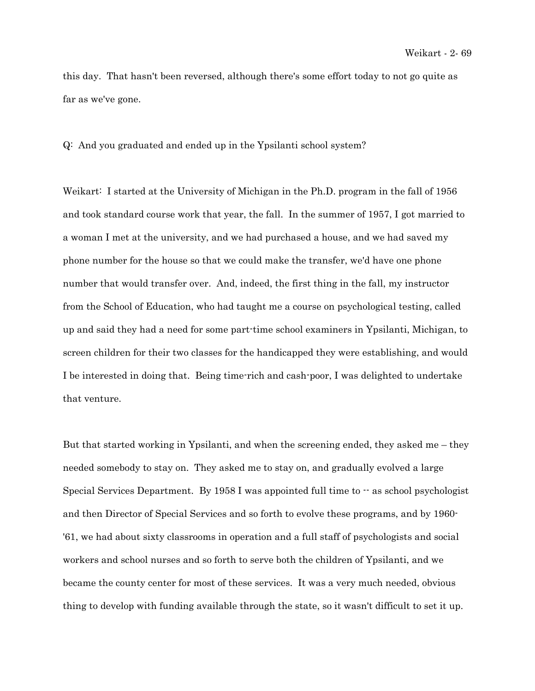this day. That hasn't been reversed, although there's some effort today to not go quite as far as we've gone.

Q: And you graduated and ended up in the Ypsilanti school system?

Weikart: I started at the University of Michigan in the Ph.D. program in the fall of 1956 and took standard course work that year, the fall. In the summer of 1957, I got married to a woman I met at the university, and we had purchased a house, and we had saved my phone number for the house so that we could make the transfer, we'd have one phone number that would transfer over. And, indeed, the first thing in the fall, my instructor from the School of Education, who had taught me a course on psychological testing, called up and said they had a need for some part-time school examiners in Ypsilanti, Michigan, to screen children for their two classes for the handicapped they were establishing, and would I be interested in doing that. Being time-rich and cash-poor, I was delighted to undertake that venture.

But that started working in Ypsilanti, and when the screening ended, they asked me – they needed somebody to stay on. They asked me to stay on, and gradually evolved a large Special Services Department. By 1958 I was appointed full time to  $\cdot$  as school psychologist and then Director of Special Services and so forth to evolve these programs, and by 1960- '61, we had about sixty classrooms in operation and a full staff of psychologists and social workers and school nurses and so forth to serve both the children of Ypsilanti, and we became the county center for most of these services. It was a very much needed, obvious thing to develop with funding available through the state, so it wasn't difficult to set it up.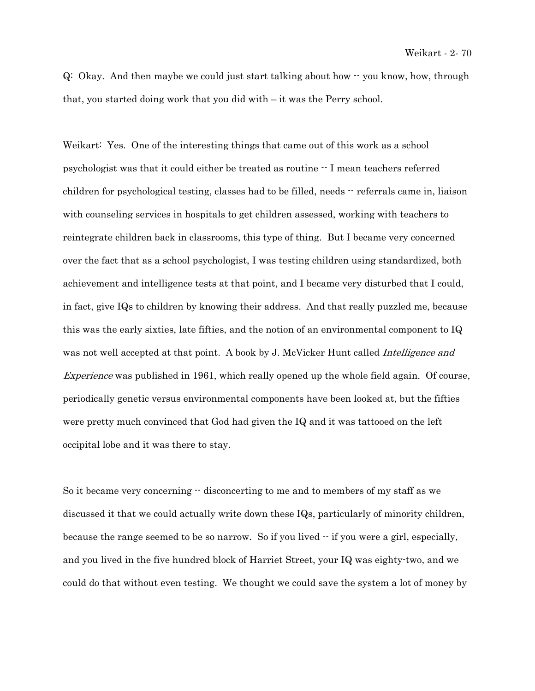$Q:$  Okay. And then maybe we could just start talking about how  $\cdot$  you know, how, through that, you started doing work that you did with – it was the Perry school.

Weikart: Yes. One of the interesting things that came out of this work as a school psychologist was that it could either be treated as routine -- I mean teachers referred children for psychological testing, classes had to be filled, needs  $\cdot\cdot$  referrals came in, liaison with counseling services in hospitals to get children assessed, working with teachers to reintegrate children back in classrooms, this type of thing. But I became very concerned over the fact that as a school psychologist, I was testing children using standardized, both achievement and intelligence tests at that point, and I became very disturbed that I could, in fact, give IQs to children by knowing their address. And that really puzzled me, because this was the early sixties, late fifties, and the notion of an environmental component to IQ was not well accepted at that point. A book by J. McVicker Hunt called *Intelligence and* Experience was published in 1961, which really opened up the whole field again. Of course, periodically genetic versus environmental components have been looked at, but the fifties were pretty much convinced that God had given the IQ and it was tattooed on the left occipital lobe and it was there to stay.

So it became very concerning  $-$  disconcerting to me and to members of my staff as we discussed it that we could actually write down these IQs, particularly of minority children, because the range seemed to be so narrow. So if you lived -- if you were a girl, especially, and you lived in the five hundred block of Harriet Street, your IQ was eighty-two, and we could do that without even testing. We thought we could save the system a lot of money by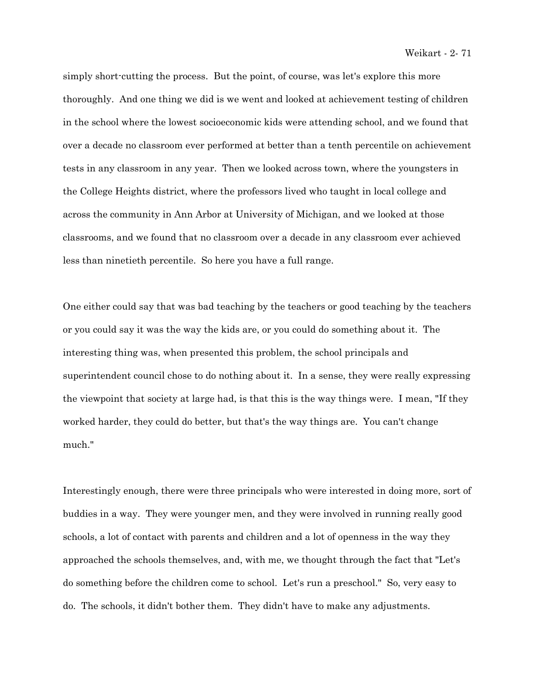Weikart - 2- 71

simply short-cutting the process. But the point, of course, was let's explore this more thoroughly. And one thing we did is we went and looked at achievement testing of children in the school where the lowest socioeconomic kids were attending school, and we found that over a decade no classroom ever performed at better than a tenth percentile on achievement tests in any classroom in any year. Then we looked across town, where the youngsters in the College Heights district, where the professors lived who taught in local college and across the community in Ann Arbor at University of Michigan, and we looked at those classrooms, and we found that no classroom over a decade in any classroom ever achieved less than ninetieth percentile. So here you have a full range.

One either could say that was bad teaching by the teachers or good teaching by the teachers or you could say it was the way the kids are, or you could do something about it. The interesting thing was, when presented this problem, the school principals and superintendent council chose to do nothing about it. In a sense, they were really expressing the viewpoint that society at large had, is that this is the way things were. I mean, "If they worked harder, they could do better, but that's the way things are. You can't change much."

Interestingly enough, there were three principals who were interested in doing more, sort of buddies in a way. They were younger men, and they were involved in running really good schools, a lot of contact with parents and children and a lot of openness in the way they approached the schools themselves, and, with me, we thought through the fact that "Let's do something before the children come to school. Let's run a preschool." So, very easy to do. The schools, it didn't bother them. They didn't have to make any adjustments.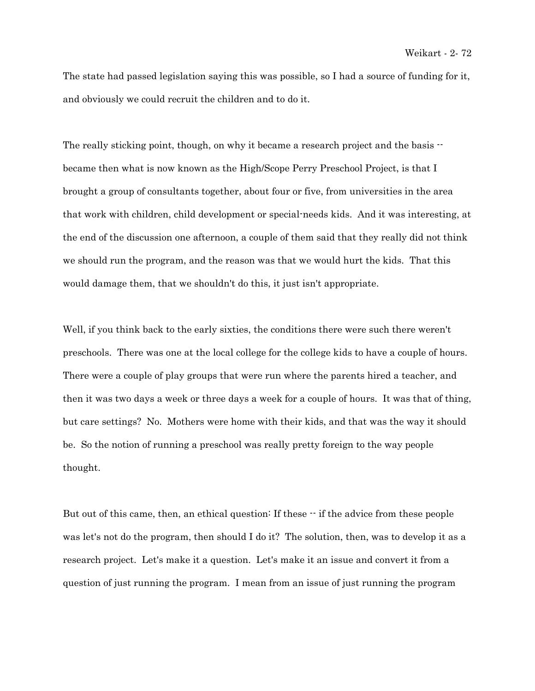The state had passed legislation saying this was possible, so I had a source of funding for it, and obviously we could recruit the children and to do it.

The really sticking point, though, on why it became a research project and the basis  $\cdot$ became then what is now known as the High/Scope Perry Preschool Project, is that I brought a group of consultants together, about four or five, from universities in the area that work with children, child development or special-needs kids. And it was interesting, at the end of the discussion one afternoon, a couple of them said that they really did not think we should run the program, and the reason was that we would hurt the kids. That this would damage them, that we shouldn't do this, it just isn't appropriate.

Well, if you think back to the early sixties, the conditions there were such there weren't preschools. There was one at the local college for the college kids to have a couple of hours. There were a couple of play groups that were run where the parents hired a teacher, and then it was two days a week or three days a week for a couple of hours. It was that of thing, but care settings? No. Mothers were home with their kids, and that was the way it should be. So the notion of running a preschool was really pretty foreign to the way people thought.

But out of this came, then, an ethical question: If these  $-$  if the advice from these people was let's not do the program, then should I do it? The solution, then, was to develop it as a research project. Let's make it a question. Let's make it an issue and convert it from a question of just running the program. I mean from an issue of just running the program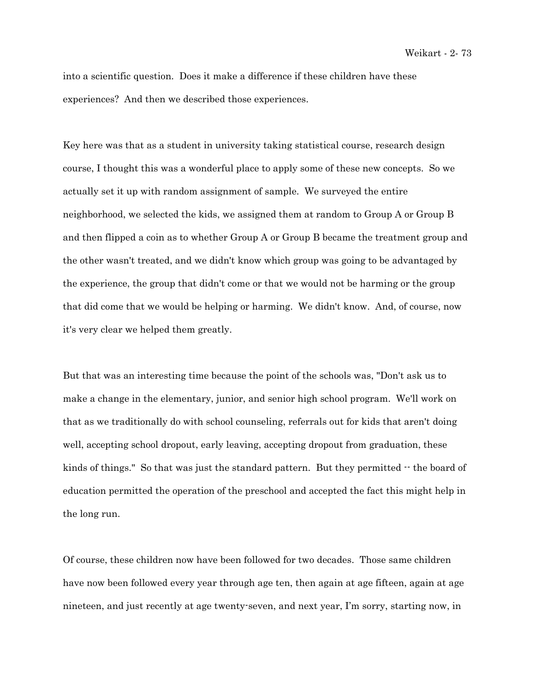into a scientific question. Does it make a difference if these children have these experiences? And then we described those experiences.

Key here was that as a student in university taking statistical course, research design course, I thought this was a wonderful place to apply some of these new concepts. So we actually set it up with random assignment of sample. We surveyed the entire neighborhood, we selected the kids, we assigned them at random to Group A or Group B and then flipped a coin as to whether Group A or Group B became the treatment group and the other wasn't treated, and we didn't know which group was going to be advantaged by the experience, the group that didn't come or that we would not be harming or the group that did come that we would be helping or harming. We didn't know. And, of course, now it's very clear we helped them greatly.

But that was an interesting time because the point of the schools was, "Don't ask us to make a change in the elementary, junior, and senior high school program. We'll work on that as we traditionally do with school counseling, referrals out for kids that aren't doing well, accepting school dropout, early leaving, accepting dropout from graduation, these kinds of things." So that was just the standard pattern. But they permitted  $\cdot$  the board of education permitted the operation of the preschool and accepted the fact this might help in the long run.

Of course, these children now have been followed for two decades. Those same children have now been followed every year through age ten, then again at age fifteen, again at age nineteen, and just recently at age twenty-seven, and next year, I'm sorry, starting now, in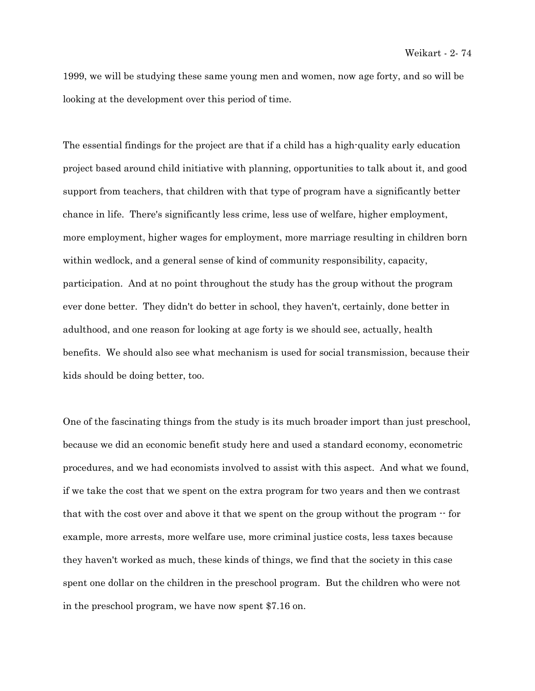1999, we will be studying these same young men and women, now age forty, and so will be looking at the development over this period of time.

The essential findings for the project are that if a child has a high-quality early education project based around child initiative with planning, opportunities to talk about it, and good support from teachers, that children with that type of program have a significantly better chance in life. There's significantly less crime, less use of welfare, higher employment, more employment, higher wages for employment, more marriage resulting in children born within wedlock, and a general sense of kind of community responsibility, capacity, participation. And at no point throughout the study has the group without the program ever done better. They didn't do better in school, they haven't, certainly, done better in adulthood, and one reason for looking at age forty is we should see, actually, health benefits. We should also see what mechanism is used for social transmission, because their kids should be doing better, too.

One of the fascinating things from the study is its much broader import than just preschool, because we did an economic benefit study here and used a standard economy, econometric procedures, and we had economists involved to assist with this aspect. And what we found, if we take the cost that we spent on the extra program for two years and then we contrast that with the cost over and above it that we spent on the group without the program  $\cdot$  for example, more arrests, more welfare use, more criminal justice costs, less taxes because they haven't worked as much, these kinds of things, we find that the society in this case spent one dollar on the children in the preschool program. But the children who were not in the preschool program, we have now spent \$7.16 on.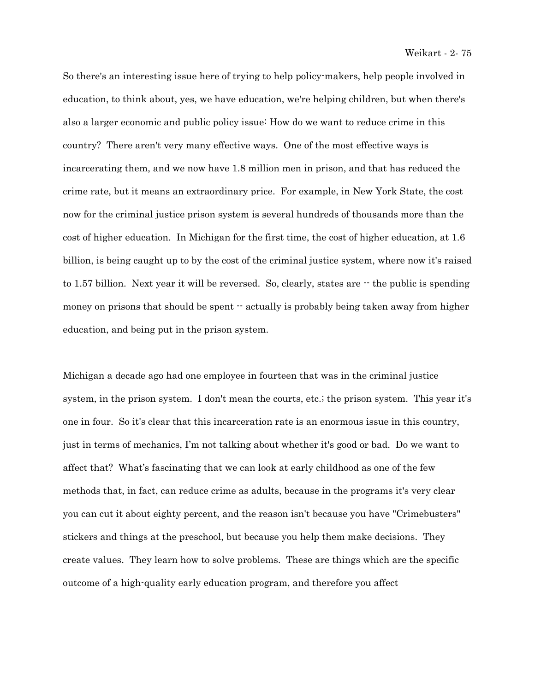So there's an interesting issue here of trying to help policy-makers, help people involved in education, to think about, yes, we have education, we're helping children, but when there's also a larger economic and public policy issue: How do we want to reduce crime in this country? There aren't very many effective ways. One of the most effective ways is incarcerating them, and we now have 1.8 million men in prison, and that has reduced the crime rate, but it means an extraordinary price. For example, in New York State, the cost now for the criminal justice prison system is several hundreds of thousands more than the cost of higher education. In Michigan for the first time, the cost of higher education, at 1.6 billion, is being caught up to by the cost of the criminal justice system, where now it's raised to 1.57 billion. Next year it will be reversed. So, clearly, states are  $\cdot$  the public is spending money on prisons that should be spent  $\cdot$  actually is probably being taken away from higher education, and being put in the prison system.

Michigan a decade ago had one employee in fourteen that was in the criminal justice system, in the prison system. I don't mean the courts, etc.; the prison system. This year it's one in four. So it's clear that this incarceration rate is an enormous issue in this country, just in terms of mechanics, I'm not talking about whether it's good or bad. Do we want to affect that? What's fascinating that we can look at early childhood as one of the few methods that, in fact, can reduce crime as adults, because in the programs it's very clear you can cut it about eighty percent, and the reason isn't because you have "Crimebusters" stickers and things at the preschool, but because you help them make decisions. They create values. They learn how to solve problems. These are things which are the specific outcome of a high-quality early education program, and therefore you affect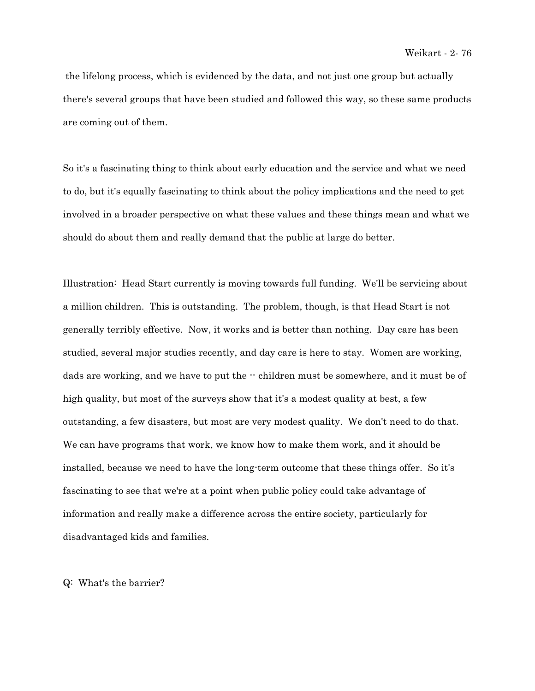the lifelong process, which is evidenced by the data, and not just one group but actually there's several groups that have been studied and followed this way, so these same products are coming out of them.

So it's a fascinating thing to think about early education and the service and what we need to do, but it's equally fascinating to think about the policy implications and the need to get involved in a broader perspective on what these values and these things mean and what we should do about them and really demand that the public at large do better.

Illustration: Head Start currently is moving towards full funding. We'll be servicing about a million children. This is outstanding. The problem, though, is that Head Start is not generally terribly effective. Now, it works and is better than nothing. Day care has been studied, several major studies recently, and day care is here to stay. Women are working, dads are working, and we have to put the -- children must be somewhere, and it must be of high quality, but most of the surveys show that it's a modest quality at best, a few outstanding, a few disasters, but most are very modest quality. We don't need to do that. We can have programs that work, we know how to make them work, and it should be installed, because we need to have the long-term outcome that these things offer. So it's fascinating to see that we're at a point when public policy could take advantage of information and really make a difference across the entire society, particularly for disadvantaged kids and families.

Q: What's the barrier?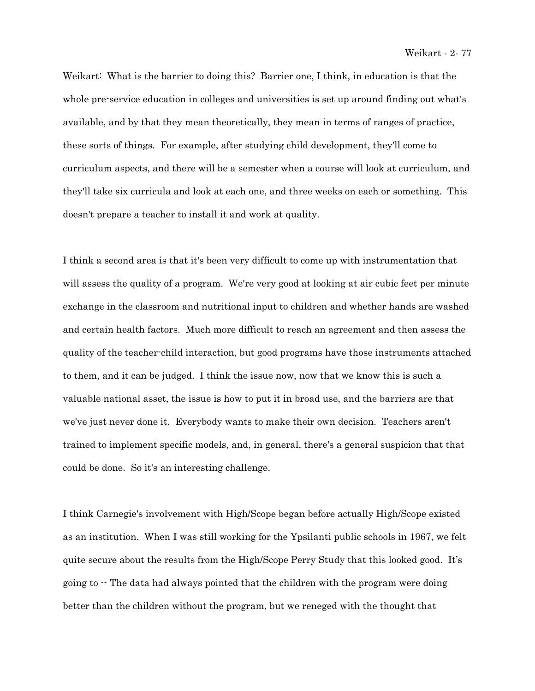Weikart: What is the barrier to doing this? Barrier one, I think, in education is that the whole pre-service education in colleges and universities is set up around finding out what's available, and by that they mean theoretically, they mean in terms of ranges of practice, these sorts of things. For example, after studying child development, they'll come to curriculum aspects, and there will be a semester when a course will look at curriculum, and they'll take six curricula and look at each one, and three weeks on each or something. This doesn't prepare a teacher to install it and work at quality.

I think a second area is that it's been very difficult to come up with instrumentation that will assess the quality of a program. We're very good at looking at air cubic feet per minute exchange in the classroom and nutritional input to children and whether hands are washed and certain health factors. Much more difficult to reach an agreement and then assess the quality of the teacher-child interaction, but good programs have those instruments attached to them, and it can be judged. I think the issue now, now that we know this is such a valuable national asset, the issue is how to put it in broad use, and the barriers are that we've just never done it. Everybody wants to make their own decision. Teachers aren't trained to implement specific models, and, in general, there's a general suspicion that that could be done. So it's an interesting challenge.

I think Carnegie's involvement with High/Scope began before actually High/Scope existed as an institution. When I was still working for the Ypsilanti public schools in 1967, we felt quite secure about the results from the High/Scope Perry Study that this looked good. It's going to  $\cdot$ - The data had always pointed that the children with the program were doing better than the children without the program, but we reneged with the thought that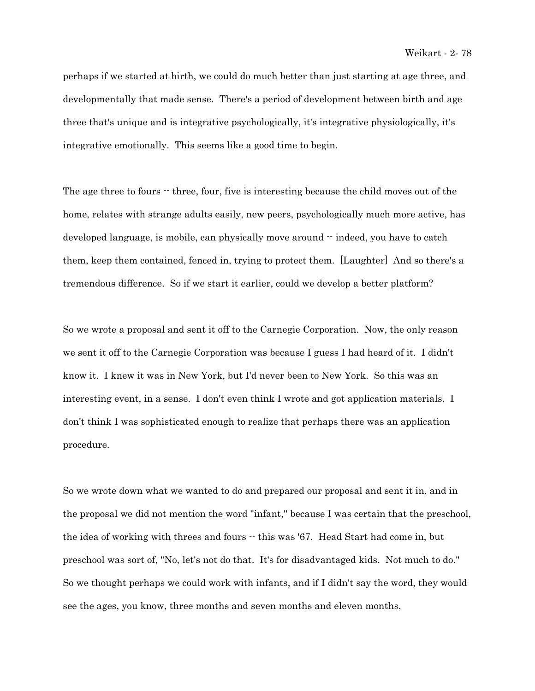perhaps if we started at birth, we could do much better than just starting at age three, and developmentally that made sense. There's a period of development between birth and age three that's unique and is integrative psychologically, it's integrative physiologically, it's integrative emotionally. This seems like a good time to begin.

The age three to fours  $\cdot$  three, four, five is interesting because the child moves out of the home, relates with strange adults easily, new peers, psychologically much more active, has developed language, is mobile, can physically move around  $\cdot$  indeed, you have to catch them, keep them contained, fenced in, trying to protect them. [Laughter] And so there's a tremendous difference. So if we start it earlier, could we develop a better platform?

So we wrote a proposal and sent it off to the Carnegie Corporation. Now, the only reason we sent it off to the Carnegie Corporation was because I guess I had heard of it. I didn't know it. I knew it was in New York, but I'd never been to New York. So this was an interesting event, in a sense. I don't even think I wrote and got application materials. I don't think I was sophisticated enough to realize that perhaps there was an application procedure.

So we wrote down what we wanted to do and prepared our proposal and sent it in, and in the proposal we did not mention the word "infant," because I was certain that the preschool, the idea of working with threes and fours  $\cdot$  this was '67. Head Start had come in, but preschool was sort of, "No, let's not do that. It's for disadvantaged kids. Not much to do." So we thought perhaps we could work with infants, and if I didn't say the word, they would see the ages, you know, three months and seven months and eleven months,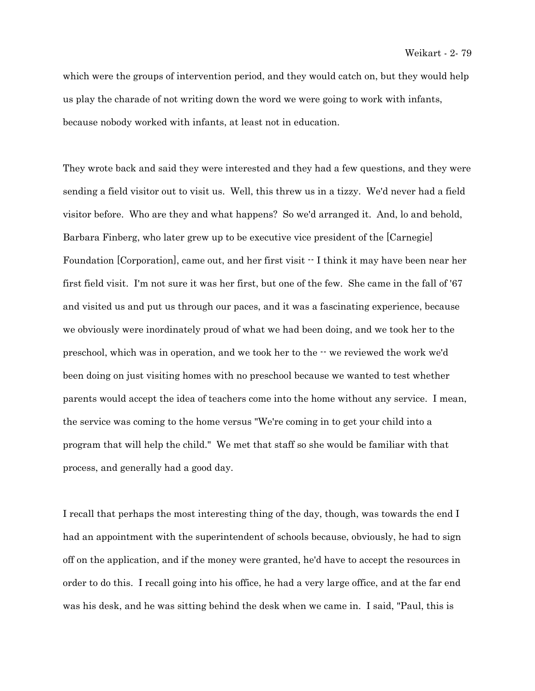which were the groups of intervention period, and they would catch on, but they would help us play the charade of not writing down the word we were going to work with infants, because nobody worked with infants, at least not in education.

They wrote back and said they were interested and they had a few questions, and they were sending a field visitor out to visit us. Well, this threw us in a tizzy. We'd never had a field visitor before. Who are they and what happens? So we'd arranged it. And, lo and behold, Barbara Finberg, who later grew up to be executive vice president of the [Carnegie] Foundation [Corporation], came out, and her first visit -- I think it may have been near her first field visit. I'm not sure it was her first, but one of the few. She came in the fall of '67 and visited us and put us through our paces, and it was a fascinating experience, because we obviously were inordinately proud of what we had been doing, and we took her to the preschool, which was in operation, and we took her to the -- we reviewed the work we'd been doing on just visiting homes with no preschool because we wanted to test whether parents would accept the idea of teachers come into the home without any service. I mean, the service was coming to the home versus "We're coming in to get your child into a program that will help the child." We met that staff so she would be familiar with that process, and generally had a good day.

I recall that perhaps the most interesting thing of the day, though, was towards the end I had an appointment with the superintendent of schools because, obviously, he had to sign off on the application, and if the money were granted, he'd have to accept the resources in order to do this. I recall going into his office, he had a very large office, and at the far end was his desk, and he was sitting behind the desk when we came in. I said, "Paul, this is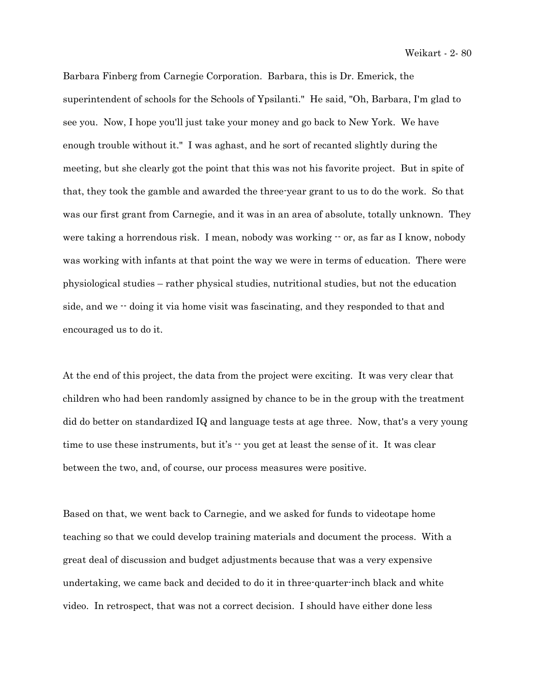Barbara Finberg from Carnegie Corporation. Barbara, this is Dr. Emerick, the superintendent of schools for the Schools of Ypsilanti." He said, "Oh, Barbara, I'm glad to see you. Now, I hope you'll just take your money and go back to New York. We have enough trouble without it." I was aghast, and he sort of recanted slightly during the meeting, but she clearly got the point that this was not his favorite project. But in spite of that, they took the gamble and awarded the three-year grant to us to do the work. So that was our first grant from Carnegie, and it was in an area of absolute, totally unknown. They were taking a horrendous risk. I mean, nobody was working  $\cdot$  or, as far as I know, nobody was working with infants at that point the way we were in terms of education. There were physiological studies – rather physical studies, nutritional studies, but not the education side, and we  $\cdot$  doing it via home visit was fascinating, and they responded to that and encouraged us to do it.

At the end of this project, the data from the project were exciting. It was very clear that children who had been randomly assigned by chance to be in the group with the treatment did do better on standardized IQ and language tests at age three. Now, that's a very young time to use these instruments, but it's  $\cdot\cdot$  you get at least the sense of it. It was clear between the two, and, of course, our process measures were positive.

Based on that, we went back to Carnegie, and we asked for funds to videotape home teaching so that we could develop training materials and document the process. With a great deal of discussion and budget adjustments because that was a very expensive undertaking, we came back and decided to do it in three-quarter-inch black and white video. In retrospect, that was not a correct decision. I should have either done less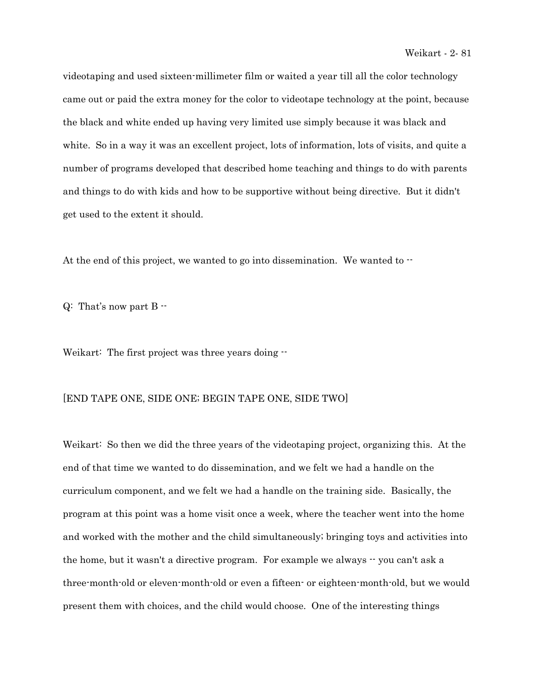videotaping and used sixteen-millimeter film or waited a year till all the color technology came out or paid the extra money for the color to videotape technology at the point, because the black and white ended up having very limited use simply because it was black and white. So in a way it was an excellent project, lots of information, lots of visits, and quite a number of programs developed that described home teaching and things to do with parents and things to do with kids and how to be supportive without being directive. But it didn't get used to the extent it should.

At the end of this project, we wanted to go into dissemination. We wanted to  $\cdot$ 

 $Q:$  That's now part B  $-$ 

Weikart: The first project was three years doing  $-$ 

## [END TAPE ONE, SIDE ONE; BEGIN TAPE ONE, SIDE TWO]

Weikart: So then we did the three years of the videotaping project, organizing this. At the end of that time we wanted to do dissemination, and we felt we had a handle on the curriculum component, and we felt we had a handle on the training side. Basically, the program at this point was a home visit once a week, where the teacher went into the home and worked with the mother and the child simultaneously; bringing toys and activities into the home, but it wasn't a directive program. For example we always  $-$  you can't ask a three-month-old or eleven-month-old or even a fifteen- or eighteen-month-old, but we would present them with choices, and the child would choose. One of the interesting things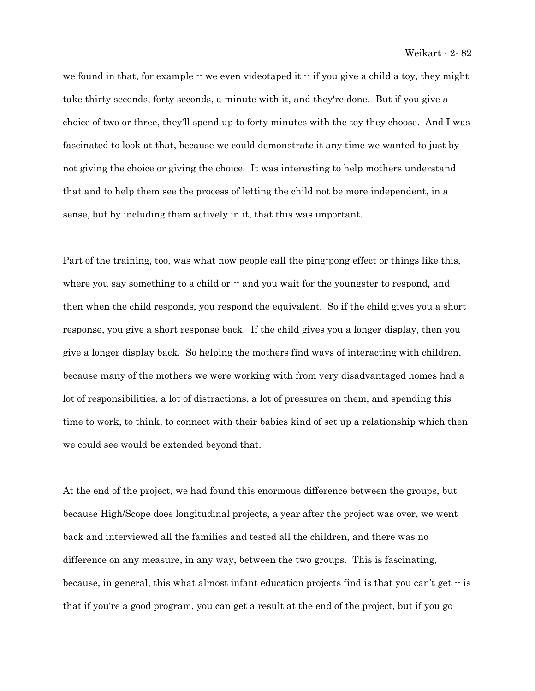we found in that, for example  $\cdot\cdot$  we even videotaped it  $\cdot\cdot$  if you give a child a toy, they might take thirty seconds, forty seconds, a minute with it, and they're done. But if you give a choice of two or three, they'll spend up to forty minutes with the toy they choose. And I was fascinated to look at that, because we could demonstrate it any time we wanted to just by not giving the choice or giving the choice. It was interesting to help mothers understand that and to help them see the process of letting the child not be more independent, in a sense, but by including them actively in it, that this was important.

Part of the training, too, was what now people call the ping-pong effect or things like this, where you say something to a child or  $\cdot$  and you wait for the youngster to respond, and then when the child responds, you respond the equivalent. So if the child gives you a short response, you give a short response back. If the child gives you a longer display, then you give a longer display back. So helping the mothers find ways of interacting with children, because many of the mothers we were working with from very disadvantaged homes had a lot of responsibilities, a lot of distractions, a lot of pressures on them, and spending this time to work, to think, to connect with their babies kind of set up a relationship which then we could see would be extended beyond that.

At the end of the project, we had found this enormous difference between the groups, but because High/Scope does longitudinal projects, a year after the project was over, we went back and interviewed all the families and tested all the children, and there was no difference on any measure, in any way, between the two groups. This is fascinating, because, in general, this what almost infant education projects find is that you can't get  $\cdot$  is that if you're a good program, you can get a result at the end of the project, but if you go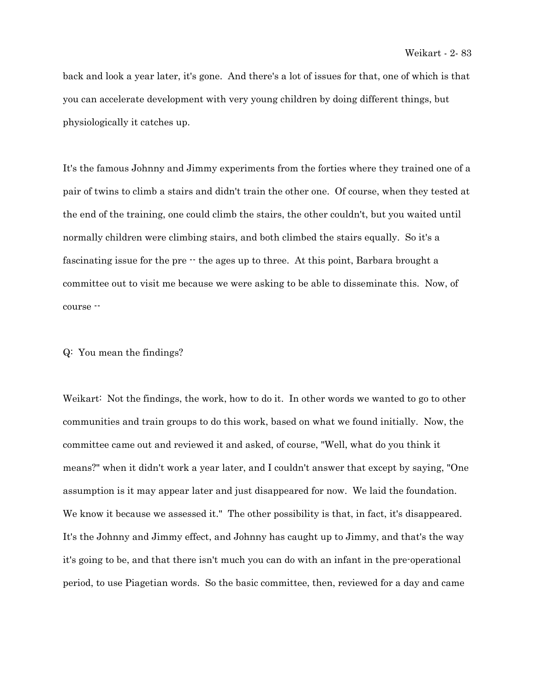back and look a year later, it's gone. And there's a lot of issues for that, one of which is that you can accelerate development with very young children by doing different things, but physiologically it catches up.

It's the famous Johnny and Jimmy experiments from the forties where they trained one of a pair of twins to climb a stairs and didn't train the other one. Of course, when they tested at the end of the training, one could climb the stairs, the other couldn't, but you waited until normally children were climbing stairs, and both climbed the stairs equally. So it's a fascinating issue for the pre  $\cdot$  the ages up to three. At this point, Barbara brought a committee out to visit me because we were asking to be able to disseminate this. Now, of course --

## Q: You mean the findings?

Weikart: Not the findings, the work, how to do it. In other words we wanted to go to other communities and train groups to do this work, based on what we found initially. Now, the committee came out and reviewed it and asked, of course, "Well, what do you think it means?" when it didn't work a year later, and I couldn't answer that except by saying, "One assumption is it may appear later and just disappeared for now. We laid the foundation. We know it because we assessed it." The other possibility is that, in fact, it's disappeared. It's the Johnny and Jimmy effect, and Johnny has caught up to Jimmy, and that's the way it's going to be, and that there isn't much you can do with an infant in the pre-operational period, to use Piagetian words. So the basic committee, then, reviewed for a day and came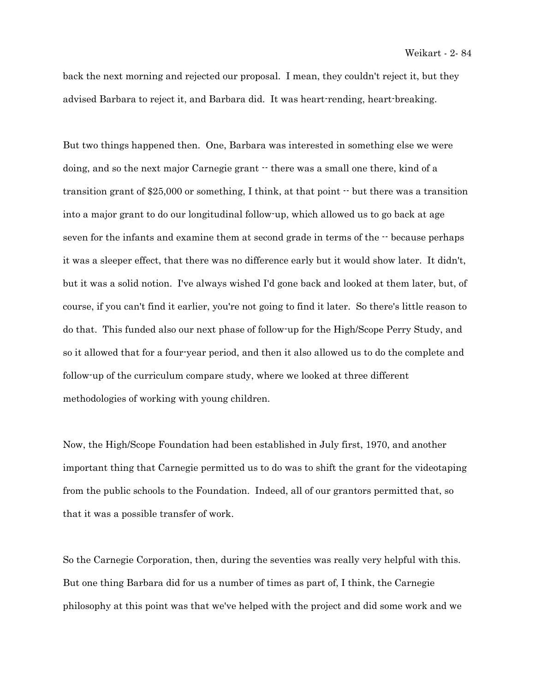back the next morning and rejected our proposal. I mean, they couldn't reject it, but they advised Barbara to reject it, and Barbara did. It was heart-rending, heart-breaking.

But two things happened then. One, Barbara was interested in something else we were doing, and so the next major Carnegie grant  $\cdot$  there was a small one there, kind of a transition grant of \$25,000 or something, I think, at that point -- but there was a transition into a major grant to do our longitudinal follow-up, which allowed us to go back at age seven for the infants and examine them at second grade in terms of the  $\cdot$  because perhaps it was a sleeper effect, that there was no difference early but it would show later. It didn't, but it was a solid notion. I've always wished I'd gone back and looked at them later, but, of course, if you can't find it earlier, you're not going to find it later. So there's little reason to do that. This funded also our next phase of follow-up for the High/Scope Perry Study, and so it allowed that for a four-year period, and then it also allowed us to do the complete and follow-up of the curriculum compare study, where we looked at three different methodologies of working with young children.

Now, the High/Scope Foundation had been established in July first, 1970, and another important thing that Carnegie permitted us to do was to shift the grant for the videotaping from the public schools to the Foundation. Indeed, all of our grantors permitted that, so that it was a possible transfer of work.

So the Carnegie Corporation, then, during the seventies was really very helpful with this. But one thing Barbara did for us a number of times as part of, I think, the Carnegie philosophy at this point was that we've helped with the project and did some work and we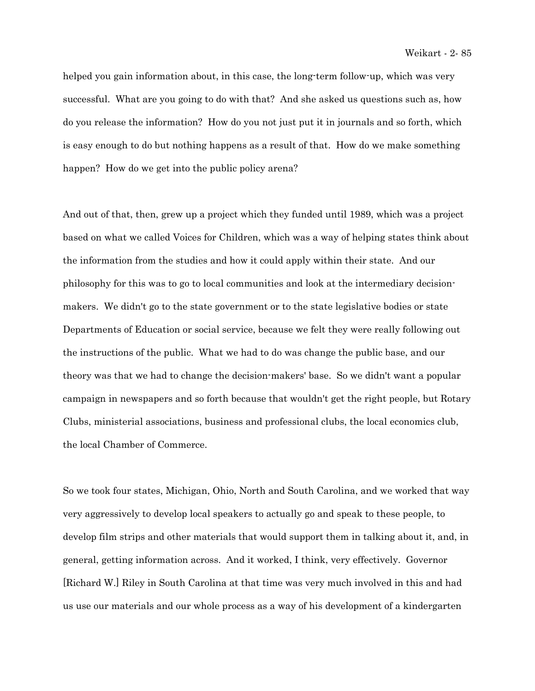helped you gain information about, in this case, the long-term follow-up, which was very successful. What are you going to do with that? And she asked us questions such as, how do you release the information? How do you not just put it in journals and so forth, which is easy enough to do but nothing happens as a result of that. How do we make something happen? How do we get into the public policy arena?

And out of that, then, grew up a project which they funded until 1989, which was a project based on what we called Voices for Children, which was a way of helping states think about the information from the studies and how it could apply within their state. And our philosophy for this was to go to local communities and look at the intermediary decisionmakers. We didn't go to the state government or to the state legislative bodies or state Departments of Education or social service, because we felt they were really following out the instructions of the public. What we had to do was change the public base, and our theory was that we had to change the decision-makers' base. So we didn't want a popular campaign in newspapers and so forth because that wouldn't get the right people, but Rotary Clubs, ministerial associations, business and professional clubs, the local economics club, the local Chamber of Commerce.

So we took four states, Michigan, Ohio, North and South Carolina, and we worked that way very aggressively to develop local speakers to actually go and speak to these people, to develop film strips and other materials that would support them in talking about it, and, in general, getting information across. And it worked, I think, very effectively. Governor [Richard W.] Riley in South Carolina at that time was very much involved in this and had us use our materials and our whole process as a way of his development of a kindergarten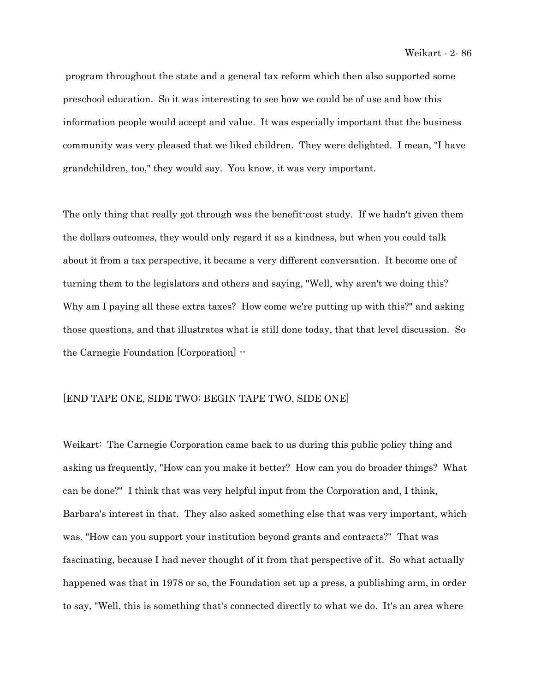program throughout the state and a general tax reform which then also supported some preschool education. So it was interesting to see how we could be of use and how this information people would accept and value. It was especially important that the business community was very pleased that we liked children. They were delighted. I mean, "I have grandchildren, too," they would say. You know, it was very important.

The only thing that really got through was the benefit-cost study. If we hadn't given them the dollars outcomes, they would only regard it as a kindness, but when you could talk about it from a tax perspective, it became a very different conversation. It become one of turning them to the legislators and others and saying, "Well, why aren't we doing this? Why am I paying all these extra taxes? How come we're putting up with this?" and asking those questions, and that illustrates what is still done today, that that level discussion. So the Carnegie Foundation [Corporation] --

## [END TAPE ONE, SIDE TWO; BEGIN TAPE TWO, SIDE ONE]

Weikart: The Carnegie Corporation came back to us during this public policy thing and asking us frequently, "How can you make it better? How can you do broader things? What can be done?" I think that was very helpful input from the Corporation and, I think, Barbara's interest in that. They also asked something else that was very important, which was, "How can you support your institution beyond grants and contracts?" That was fascinating, because I had never thought of it from that perspective of it. So what actually happened was that in 1978 or so, the Foundation set up a press, a publishing arm, in order to say, "Well, this is something that's connected directly to what we do. It's an area where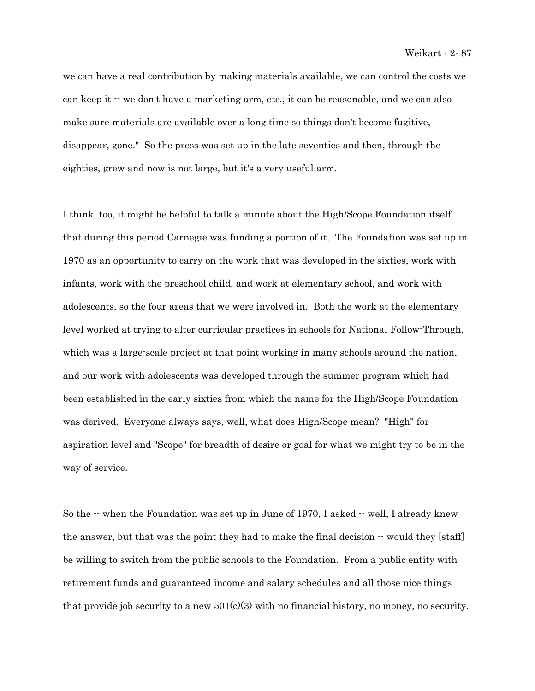we can have a real contribution by making materials available, we can control the costs we can keep it  $\cdot\cdot$  we don't have a marketing arm, etc., it can be reasonable, and we can also make sure materials are available over a long time so things don't become fugitive, disappear, gone." So the press was set up in the late seventies and then, through the eighties, grew and now is not large, but it's a very useful arm.

I think, too, it might be helpful to talk a minute about the High/Scope Foundation itself that during this period Carnegie was funding a portion of it. The Foundation was set up in 1970 as an opportunity to carry on the work that was developed in the sixties, work with infants, work with the preschool child, and work at elementary school, and work with adolescents, so the four areas that we were involved in. Both the work at the elementary level worked at trying to alter curricular practices in schools for National Follow-Through, which was a large-scale project at that point working in many schools around the nation, and our work with adolescents was developed through the summer program which had been established in the early sixties from which the name for the High/Scope Foundation was derived. Everyone always says, well, what does High/Scope mean? "High" for aspiration level and "Scope" for breadth of desire or goal for what we might try to be in the way of service.

So the  $\cdot$  when the Foundation was set up in June of 1970, I asked  $\cdot$  well, I already knew the answer, but that was the point they had to make the final decision  $\cdot$  would they [staff] be willing to switch from the public schools to the Foundation. From a public entity with retirement funds and guaranteed income and salary schedules and all those nice things that provide job security to a new  $501(c)(3)$  with no financial history, no money, no security.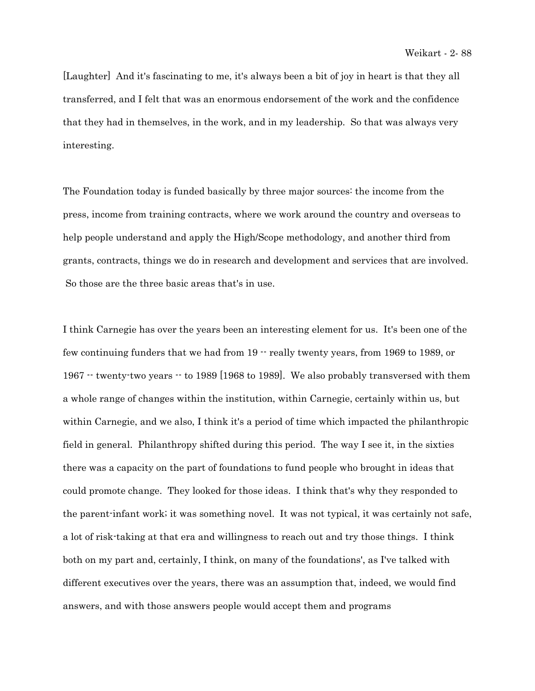[Laughter] And it's fascinating to me, it's always been a bit of joy in heart is that they all transferred, and I felt that was an enormous endorsement of the work and the confidence that they had in themselves, in the work, and in my leadership. So that was always very interesting.

The Foundation today is funded basically by three major sources: the income from the press, income from training contracts, where we work around the country and overseas to help people understand and apply the High/Scope methodology, and another third from grants, contracts, things we do in research and development and services that are involved. So those are the three basic areas that's in use.

I think Carnegie has over the years been an interesting element for us. It's been one of the few continuing funders that we had from  $19 -$  really twenty years, from 1969 to 1989, or 1967 -- twenty-two years -- to 1989 [1968 to 1989]. We also probably transversed with them a whole range of changes within the institution, within Carnegie, certainly within us, but within Carnegie, and we also, I think it's a period of time which impacted the philanthropic field in general. Philanthropy shifted during this period. The way I see it, in the sixties there was a capacity on the part of foundations to fund people who brought in ideas that could promote change. They looked for those ideas. I think that's why they responded to the parent-infant work; it was something novel. It was not typical, it was certainly not safe, a lot of risk-taking at that era and willingness to reach out and try those things. I think both on my part and, certainly, I think, on many of the foundations', as I've talked with different executives over the years, there was an assumption that, indeed, we would find answers, and with those answers people would accept them and programs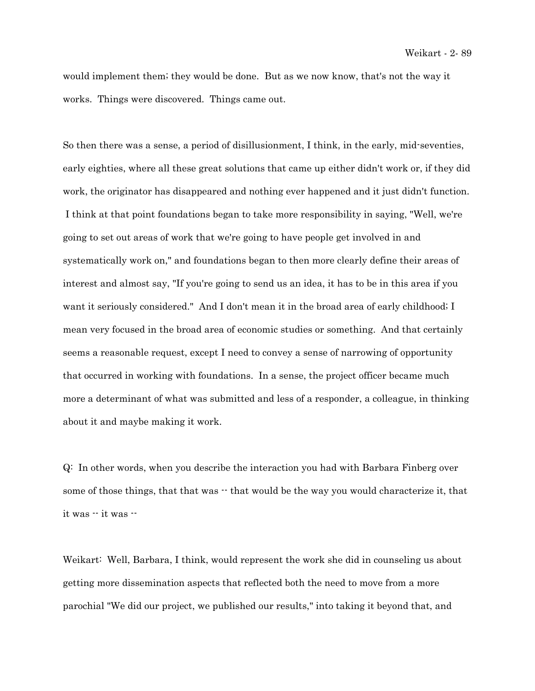would implement them; they would be done. But as we now know, that's not the way it works. Things were discovered. Things came out.

So then there was a sense, a period of disillusionment, I think, in the early, mid-seventies, early eighties, where all these great solutions that came up either didn't work or, if they did work, the originator has disappeared and nothing ever happened and it just didn't function. I think at that point foundations began to take more responsibility in saying, "Well, we're going to set out areas of work that we're going to have people get involved in and systematically work on," and foundations began to then more clearly define their areas of interest and almost say, "If you're going to send us an idea, it has to be in this area if you want it seriously considered." And I don't mean it in the broad area of early childhood; I mean very focused in the broad area of economic studies or something. And that certainly seems a reasonable request, except I need to convey a sense of narrowing of opportunity that occurred in working with foundations. In a sense, the project officer became much more a determinant of what was submitted and less of a responder, a colleague, in thinking about it and maybe making it work.

Q: In other words, when you describe the interaction you had with Barbara Finberg over some of those things, that that was  $-$  that would be the way you would characterize it, that it was -- it was --

Weikart: Well, Barbara, I think, would represent the work she did in counseling us about getting more dissemination aspects that reflected both the need to move from a more parochial "We did our project, we published our results," into taking it beyond that, and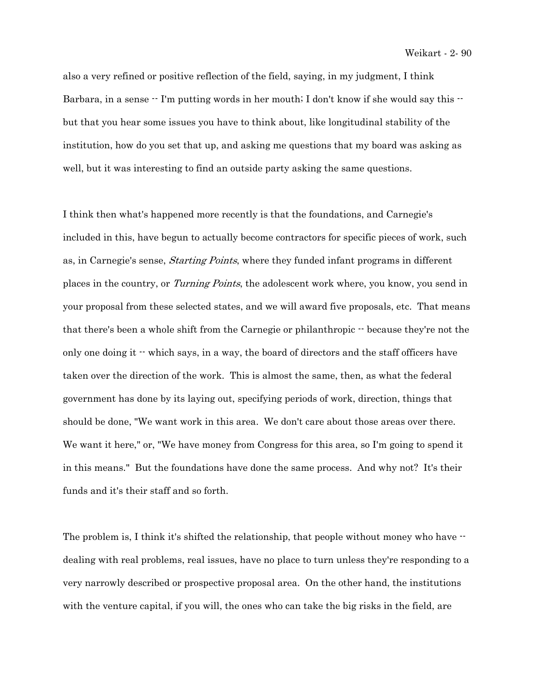also a very refined or positive reflection of the field, saying, in my judgment, I think Barbara, in a sense  $\cdot$  I'm putting words in her mouth; I don't know if she would say this  $\cdot$ but that you hear some issues you have to think about, like longitudinal stability of the institution, how do you set that up, and asking me questions that my board was asking as well, but it was interesting to find an outside party asking the same questions.

I think then what's happened more recently is that the foundations, and Carnegie's included in this, have begun to actually become contractors for specific pieces of work, such as, in Carnegie's sense, Starting Points, where they funded infant programs in different places in the country, or Turning Points, the adolescent work where, you know, you send in your proposal from these selected states, and we will award five proposals, etc. That means that there's been a whole shift from the Carnegie or philanthropic  $\cdot \cdot$  because they're not the only one doing it  $\cdot\cdot$  which says, in a way, the board of directors and the staff officers have taken over the direction of the work. This is almost the same, then, as what the federal government has done by its laying out, specifying periods of work, direction, things that should be done, "We want work in this area. We don't care about those areas over there. We want it here," or, "We have money from Congress for this area, so I'm going to spend it in this means." But the foundations have done the same process. And why not? It's their funds and it's their staff and so forth.

The problem is, I think it's shifted the relationship, that people without money who have  $\cdot$ dealing with real problems, real issues, have no place to turn unless they're responding to a very narrowly described or prospective proposal area. On the other hand, the institutions with the venture capital, if you will, the ones who can take the big risks in the field, are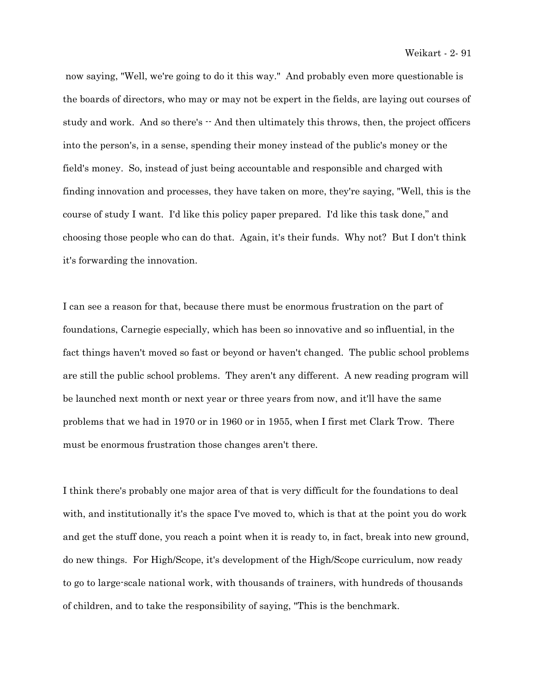now saying, "Well, we're going to do it this way." And probably even more questionable is the boards of directors, who may or may not be expert in the fields, are laying out courses of study and work. And so there's  $\cdot$  And then ultimately this throws, then, the project officers into the person's, in a sense, spending their money instead of the public's money or the field's money. So, instead of just being accountable and responsible and charged with finding innovation and processes, they have taken on more, they're saying, "Well, this is the course of study I want. I'd like this policy paper prepared. I'd like this task done," and choosing those people who can do that. Again, it's their funds. Why not? But I don't think it's forwarding the innovation.

I can see a reason for that, because there must be enormous frustration on the part of foundations, Carnegie especially, which has been so innovative and so influential, in the fact things haven't moved so fast or beyond or haven't changed. The public school problems are still the public school problems. They aren't any different. A new reading program will be launched next month or next year or three years from now, and it'll have the same problems that we had in 1970 or in 1960 or in 1955, when I first met Clark Trow. There must be enormous frustration those changes aren't there.

I think there's probably one major area of that is very difficult for the foundations to deal with, and institutionally it's the space I've moved to, which is that at the point you do work and get the stuff done, you reach a point when it is ready to, in fact, break into new ground, do new things. For High/Scope, it's development of the High/Scope curriculum, now ready to go to large-scale national work, with thousands of trainers, with hundreds of thousands of children, and to take the responsibility of saying, "This is the benchmark.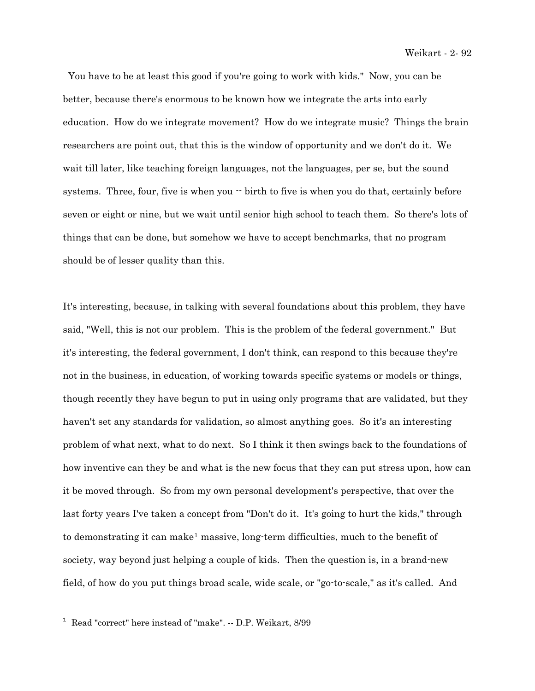You have to be at least this good if you're going to work with kids." Now, you can be better, because there's enormous to be known how we integrate the arts into early education. How do we integrate movement? How do we integrate music? Things the brain researchers are point out, that this is the window of opportunity and we don't do it. We wait till later, like teaching foreign languages, not the languages, per se, but the sound systems. Three, four, five is when you  $\cdot$  birth to five is when you do that, certainly before seven or eight or nine, but we wait until senior high school to teach them. So there's lots of things that can be done, but somehow we have to accept benchmarks, that no program should be of lesser quality than this.

It's interesting, because, in talking with several foundations about this problem, they have said, "Well, this is not our problem. This is the problem of the federal government." But it's interesting, the federal government, I don't think, can respond to this because they're not in the business, in education, of working towards specific systems or models or things, though recently they have begun to put in using only programs that are validated, but they haven't set any standards for validation, so almost anything goes. So it's an interesting problem of what next, what to do next. So I think it then swings back to the foundations of how inventive can they be and what is the new focus that they can put stress upon, how can it be moved through. So from my own personal development's perspective, that over the last forty years I've taken a concept from "Don't do it. It's going to hurt the kids," through to demonstrating it can make[1](#page-27-0) massive, long-term difficulties, much to the benefit of society, way beyond just helping a couple of kids. Then the question is, in a brand-new field, of how do you put things broad scale, wide scale, or "go-to-scale," as it's called. And

i<br>Li

<span id="page-27-0"></span><sup>&</sup>lt;sup>1</sup> Read "correct" here instead of "make". -- D.P. Weikart, 8/99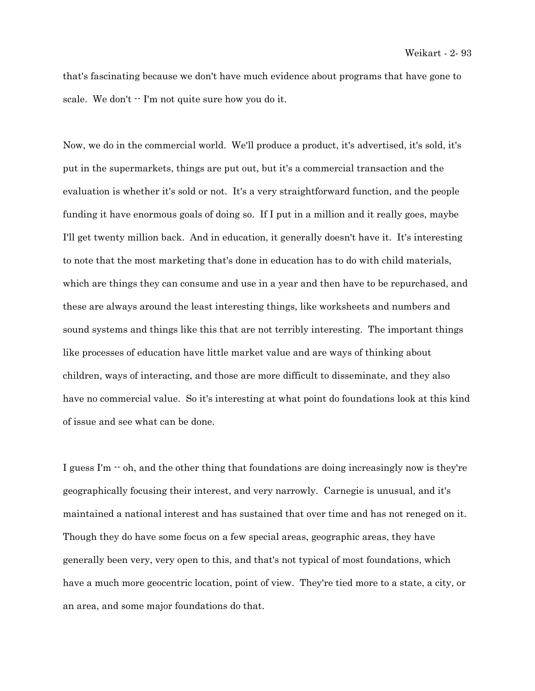that's fascinating because we don't have much evidence about programs that have gone to scale. We don't  $\cdot$ - I'm not quite sure how you do it.

Now, we do in the commercial world. We'll produce a product, it's advertised, it's sold, it's put in the supermarkets, things are put out, but it's a commercial transaction and the evaluation is whether it's sold or not. It's a very straightforward function, and the people funding it have enormous goals of doing so. If I put in a million and it really goes, maybe I'll get twenty million back. And in education, it generally doesn't have it. It's interesting to note that the most marketing that's done in education has to do with child materials, which are things they can consume and use in a year and then have to be repurchased, and these are always around the least interesting things, like worksheets and numbers and sound systems and things like this that are not terribly interesting. The important things like processes of education have little market value and are ways of thinking about children, ways of interacting, and those are more difficult to disseminate, and they also have no commercial value. So it's interesting at what point do foundations look at this kind of issue and see what can be done.

I guess I'm  $\cdot$  oh, and the other thing that foundations are doing increasingly now is they're geographically focusing their interest, and very narrowly. Carnegie is unusual, and it's maintained a national interest and has sustained that over time and has not reneged on it. Though they do have some focus on a few special areas, geographic areas, they have generally been very, very open to this, and that's not typical of most foundations, which have a much more geocentric location, point of view. They're tied more to a state, a city, or an area, and some major foundations do that.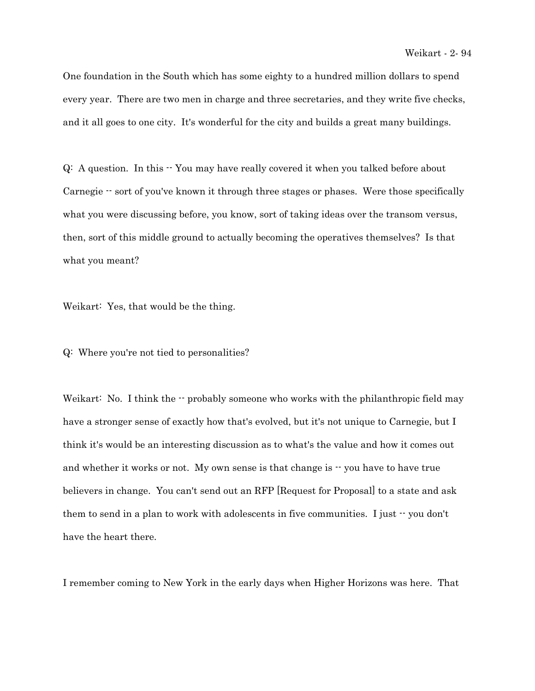One foundation in the South which has some eighty to a hundred million dollars to spend every year. There are two men in charge and three secretaries, and they write five checks, and it all goes to one city. It's wonderful for the city and builds a great many buildings.

Q: A question. In this -- You may have really covered it when you talked before about Carnegie  $-$  sort of you've known it through three stages or phases. Were those specifically what you were discussing before, you know, sort of taking ideas over the transom versus, then, sort of this middle ground to actually becoming the operatives themselves? Is that what you meant?

Weikart: Yes, that would be the thing.

Q: Where you're not tied to personalities?

Weikart: No. I think the  $\cdot \cdot$  probably someone who works with the philanthropic field may have a stronger sense of exactly how that's evolved, but it's not unique to Carnegie, but I think it's would be an interesting discussion as to what's the value and how it comes out and whether it works or not. My own sense is that change is  $\cdot \cdot$  you have to have true believers in change. You can't send out an RFP [Request for Proposal] to a state and ask them to send in a plan to work with adolescents in five communities. I just  $\cdot$  you don't have the heart there.

I remember coming to New York in the early days when Higher Horizons was here. That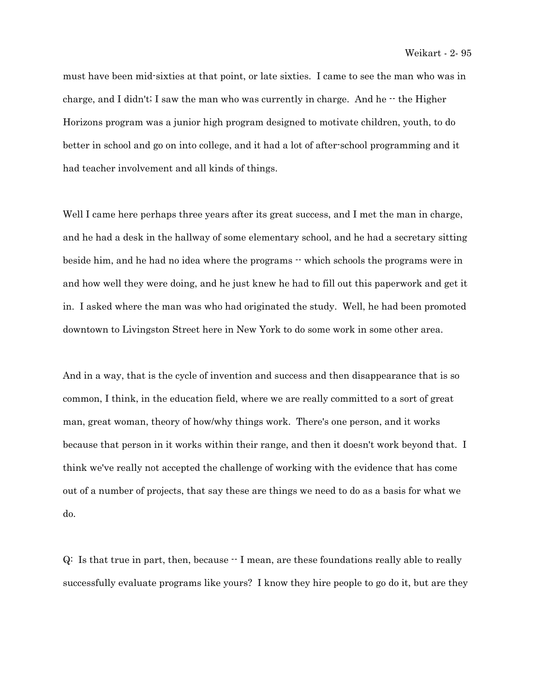must have been mid-sixties at that point, or late sixties. I came to see the man who was in charge, and I didn't; I saw the man who was currently in charge. And he  $\cdot$  the Higher Horizons program was a junior high program designed to motivate children, youth, to do better in school and go on into college, and it had a lot of after-school programming and it had teacher involvement and all kinds of things.

Well I came here perhaps three years after its great success, and I met the man in charge, and he had a desk in the hallway of some elementary school, and he had a secretary sitting beside him, and he had no idea where the programs  $\cdot$  which schools the programs were in and how well they were doing, and he just knew he had to fill out this paperwork and get it in. I asked where the man was who had originated the study. Well, he had been promoted downtown to Livingston Street here in New York to do some work in some other area.

And in a way, that is the cycle of invention and success and then disappearance that is so common, I think, in the education field, where we are really committed to a sort of great man, great woman, theory of how/why things work. There's one person, and it works because that person in it works within their range, and then it doesn't work beyond that. I think we've really not accepted the challenge of working with the evidence that has come out of a number of projects, that say these are things we need to do as a basis for what we do.

Q: Is that true in part, then, because -- I mean, are these foundations really able to really successfully evaluate programs like yours? I know they hire people to go do it, but are they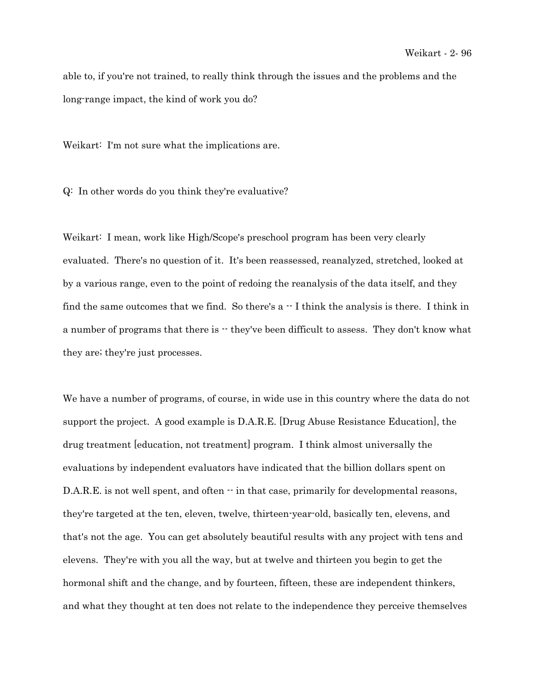able to, if you're not trained, to really think through the issues and the problems and the long-range impact, the kind of work you do?

Weikart: I'm not sure what the implications are.

Q: In other words do you think they're evaluative?

Weikart: I mean, work like High/Scope's preschool program has been very clearly evaluated. There's no question of it. It's been reassessed, reanalyzed, stretched, looked at by a various range, even to the point of redoing the reanalysis of the data itself, and they find the same outcomes that we find. So there's  $a - I$  think the analysis is there. I think in a number of programs that there is  $\cdot$  they've been difficult to assess. They don't know what they are; they're just processes.

We have a number of programs, of course, in wide use in this country where the data do not support the project. A good example is D.A.R.E. [Drug Abuse Resistance Education], the drug treatment [education, not treatment] program. I think almost universally the evaluations by independent evaluators have indicated that the billion dollars spent on D.A.R.E. is not well spent, and often  $\cdot \cdot$  in that case, primarily for developmental reasons, they're targeted at the ten, eleven, twelve, thirteen-year-old, basically ten, elevens, and that's not the age. You can get absolutely beautiful results with any project with tens and elevens. They're with you all the way, but at twelve and thirteen you begin to get the hormonal shift and the change, and by fourteen, fifteen, these are independent thinkers, and what they thought at ten does not relate to the independence they perceive themselves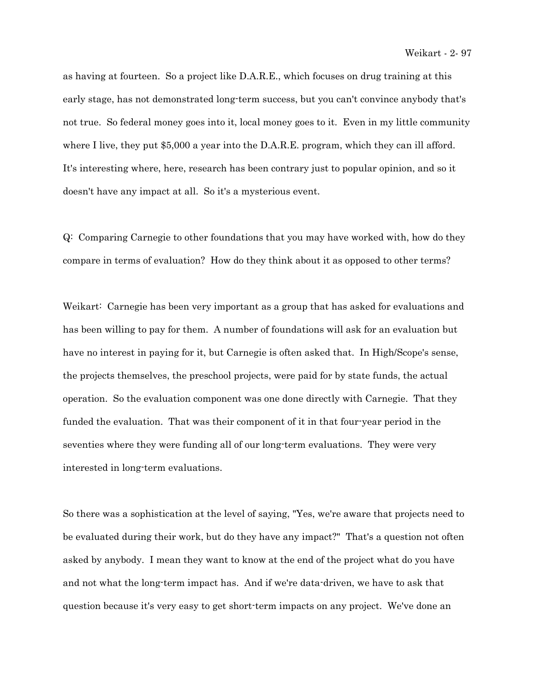as having at fourteen. So a project like D.A.R.E., which focuses on drug training at this early stage, has not demonstrated long-term success, but you can't convince anybody that's not true. So federal money goes into it, local money goes to it. Even in my little community where I live, they put \$5,000 a year into the D.A.R.E. program, which they can ill afford. It's interesting where, here, research has been contrary just to popular opinion, and so it doesn't have any impact at all. So it's a mysterious event.

Q: Comparing Carnegie to other foundations that you may have worked with, how do they compare in terms of evaluation? How do they think about it as opposed to other terms?

Weikart: Carnegie has been very important as a group that has asked for evaluations and has been willing to pay for them. A number of foundations will ask for an evaluation but have no interest in paying for it, but Carnegie is often asked that. In High/Scope's sense, the projects themselves, the preschool projects, were paid for by state funds, the actual operation. So the evaluation component was one done directly with Carnegie. That they funded the evaluation. That was their component of it in that four-year period in the seventies where they were funding all of our long-term evaluations. They were very interested in long-term evaluations.

So there was a sophistication at the level of saying, "Yes, we're aware that projects need to be evaluated during their work, but do they have any impact?" That's a question not often asked by anybody. I mean they want to know at the end of the project what do you have and not what the long-term impact has. And if we're data-driven, we have to ask that question because it's very easy to get short-term impacts on any project. We've done an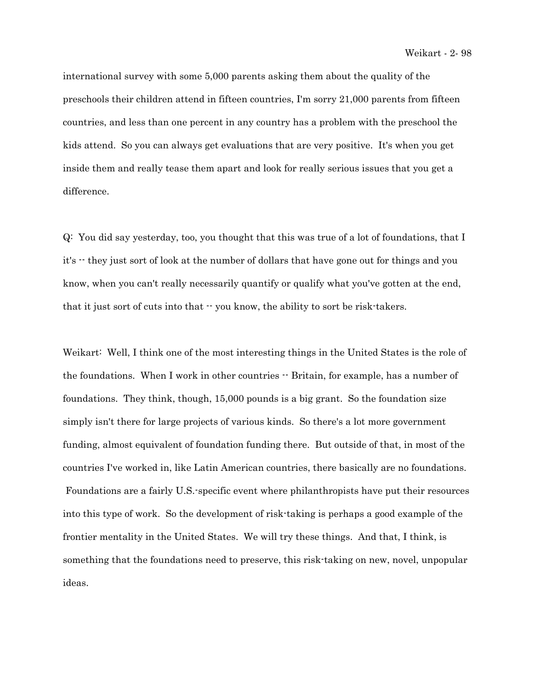international survey with some 5,000 parents asking them about the quality of the preschools their children attend in fifteen countries, I'm sorry 21,000 parents from fifteen countries, and less than one percent in any country has a problem with the preschool the kids attend. So you can always get evaluations that are very positive. It's when you get inside them and really tease them apart and look for really serious issues that you get a difference.

Q: You did say yesterday, too, you thought that this was true of a lot of foundations, that I it's -- they just sort of look at the number of dollars that have gone out for things and you know, when you can't really necessarily quantify or qualify what you've gotten at the end, that it just sort of cuts into that -- you know, the ability to sort be risk-takers.

Weikart: Well, I think one of the most interesting things in the United States is the role of the foundations. When I work in other countries  $\cdot$  Britain, for example, has a number of foundations. They think, though, 15,000 pounds is a big grant. So the foundation size simply isn't there for large projects of various kinds. So there's a lot more government funding, almost equivalent of foundation funding there. But outside of that, in most of the countries I've worked in, like Latin American countries, there basically are no foundations. Foundations are a fairly U.S.-specific event where philanthropists have put their resources into this type of work. So the development of risk-taking is perhaps a good example of the frontier mentality in the United States. We will try these things. And that, I think, is something that the foundations need to preserve, this risk-taking on new, novel, unpopular ideas.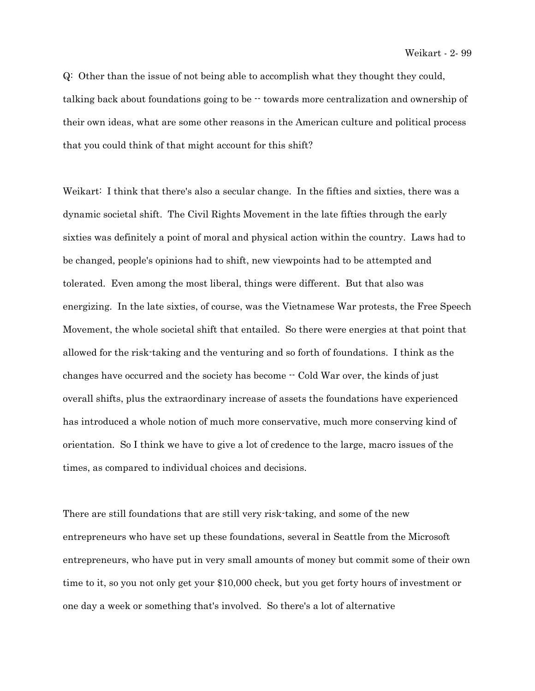Q: Other than the issue of not being able to accomplish what they thought they could, talking back about foundations going to be -- towards more centralization and ownership of their own ideas, what are some other reasons in the American culture and political process that you could think of that might account for this shift?

Weikart: I think that there's also a secular change. In the fifties and sixties, there was a dynamic societal shift. The Civil Rights Movement in the late fifties through the early sixties was definitely a point of moral and physical action within the country. Laws had to be changed, people's opinions had to shift, new viewpoints had to be attempted and tolerated. Even among the most liberal, things were different. But that also was energizing. In the late sixties, of course, was the Vietnamese War protests, the Free Speech Movement, the whole societal shift that entailed. So there were energies at that point that allowed for the risk-taking and the venturing and so forth of foundations. I think as the changes have occurred and the society has become -- Cold War over, the kinds of just overall shifts, plus the extraordinary increase of assets the foundations have experienced has introduced a whole notion of much more conservative, much more conserving kind of orientation. So I think we have to give a lot of credence to the large, macro issues of the times, as compared to individual choices and decisions.

There are still foundations that are still very risk-taking, and some of the new entrepreneurs who have set up these foundations, several in Seattle from the Microsoft entrepreneurs, who have put in very small amounts of money but commit some of their own time to it, so you not only get your \$10,000 check, but you get forty hours of investment or one day a week or something that's involved. So there's a lot of alternative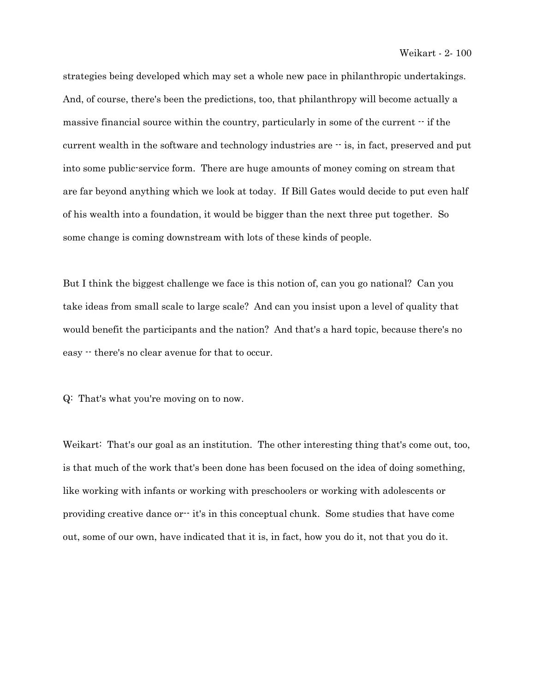strategies being developed which may set a whole new pace in philanthropic undertakings. And, of course, there's been the predictions, too, that philanthropy will become actually a massive financial source within the country, particularly in some of the current  $\cdot$  if the current wealth in the software and technology industries are  $\cdot$  is, in fact, preserved and put into some public-service form. There are huge amounts of money coming on stream that are far beyond anything which we look at today. If Bill Gates would decide to put even half of his wealth into a foundation, it would be bigger than the next three put together. So some change is coming downstream with lots of these kinds of people.

But I think the biggest challenge we face is this notion of, can you go national? Can you take ideas from small scale to large scale? And can you insist upon a level of quality that would benefit the participants and the nation? And that's a hard topic, because there's no easy -- there's no clear avenue for that to occur.

Q: That's what you're moving on to now.

Weikart: That's our goal as an institution. The other interesting thing that's come out, too, is that much of the work that's been done has been focused on the idea of doing something, like working with infants or working with preschoolers or working with adolescents or providing creative dance or-- it's in this conceptual chunk. Some studies that have come out, some of our own, have indicated that it is, in fact, how you do it, not that you do it.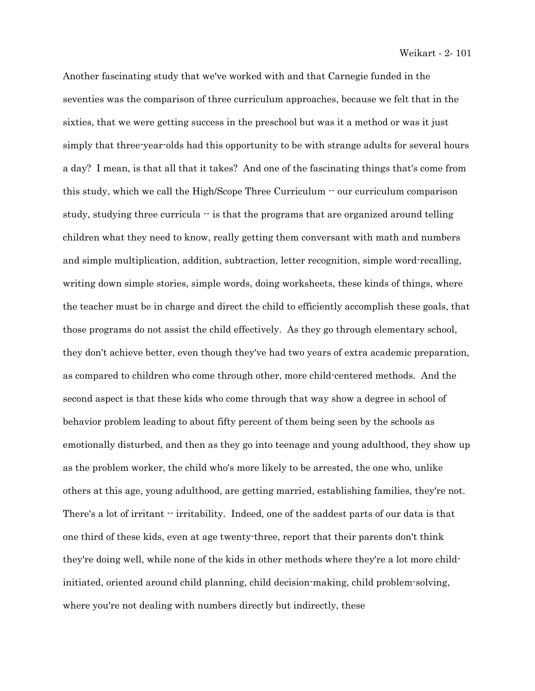Another fascinating study that we've worked with and that Carnegie funded in the seventies was the comparison of three curriculum approaches, because we felt that in the sixties, that we were getting success in the preschool but was it a method or was it just simply that three-year-olds had this opportunity to be with strange adults for several hours a day? I mean, is that all that it takes? And one of the fascinating things that's come from this study, which we call the High/Scope Three Curriculum  $\cdot$  our curriculum comparison study, studying three curricula  $\cdot$  is that the programs that are organized around telling children what they need to know, really getting them conversant with math and numbers and simple multiplication, addition, subtraction, letter recognition, simple word-recalling, writing down simple stories, simple words, doing worksheets, these kinds of things, where the teacher must be in charge and direct the child to efficiently accomplish these goals, that those programs do not assist the child effectively. As they go through elementary school, they don't achieve better, even though they've had two years of extra academic preparation, as compared to children who come through other, more child-centered methods. And the second aspect is that these kids who come through that way show a degree in school of behavior problem leading to about fifty percent of them being seen by the schools as emotionally disturbed, and then as they go into teenage and young adulthood, they show up as the problem worker, the child who's more likely to be arrested, the one who, unlike others at this age, young adulthood, are getting married, establishing families, they're not. There's a lot of irritant  $\cdot$  irritability. Indeed, one of the saddest parts of our data is that one third of these kids, even at age twenty-three, report that their parents don't think they're doing well, while none of the kids in other methods where they're a lot more childinitiated, oriented around child planning, child decision-making, child problem-solving, where you're not dealing with numbers directly but indirectly, these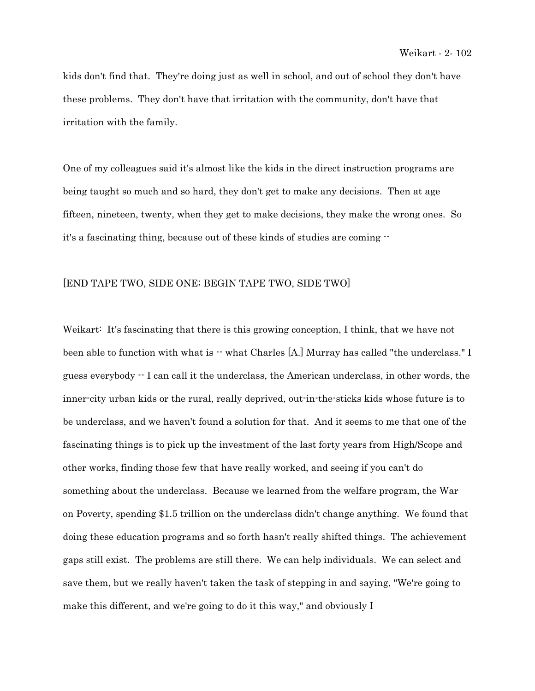kids don't find that. They're doing just as well in school, and out of school they don't have these problems. They don't have that irritation with the community, don't have that irritation with the family.

One of my colleagues said it's almost like the kids in the direct instruction programs are being taught so much and so hard, they don't get to make any decisions. Then at age fifteen, nineteen, twenty, when they get to make decisions, they make the wrong ones. So it's a fascinating thing, because out of these kinds of studies are coming --

## [END TAPE TWO, SIDE ONE; BEGIN TAPE TWO, SIDE TWO]

Weikart: It's fascinating that there is this growing conception, I think, that we have not been able to function with what is  $\cdot\cdot$  what Charles [A.] Murray has called "the underclass." I guess everybody -- I can call it the underclass, the American underclass, in other words, the inner-city urban kids or the rural, really deprived, out-in-the-sticks kids whose future is to be underclass, and we haven't found a solution for that. And it seems to me that one of the fascinating things is to pick up the investment of the last forty years from High/Scope and other works, finding those few that have really worked, and seeing if you can't do something about the underclass. Because we learned from the welfare program, the War on Poverty, spending \$1.5 trillion on the underclass didn't change anything. We found that doing these education programs and so forth hasn't really shifted things. The achievement gaps still exist. The problems are still there. We can help individuals. We can select and save them, but we really haven't taken the task of stepping in and saying, "We're going to make this different, and we're going to do it this way," and obviously I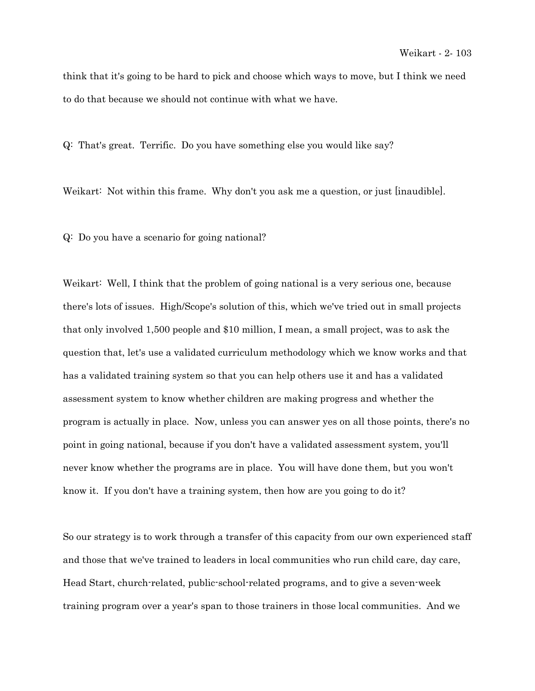think that it's going to be hard to pick and choose which ways to move, but I think we need to do that because we should not continue with what we have.

Q: That's great. Terrific. Do you have something else you would like say?

Weikart: Not within this frame. Why don't you ask me a question, or just [inaudible].

Q: Do you have a scenario for going national?

Weikart: Well, I think that the problem of going national is a very serious one, because there's lots of issues. High/Scope's solution of this, which we've tried out in small projects that only involved 1,500 people and \$10 million, I mean, a small project, was to ask the question that, let's use a validated curriculum methodology which we know works and that has a validated training system so that you can help others use it and has a validated assessment system to know whether children are making progress and whether the program is actually in place. Now, unless you can answer yes on all those points, there's no point in going national, because if you don't have a validated assessment system, you'll never know whether the programs are in place. You will have done them, but you won't know it. If you don't have a training system, then how are you going to do it?

So our strategy is to work through a transfer of this capacity from our own experienced staff and those that we've trained to leaders in local communities who run child care, day care, Head Start, church-related, public-school-related programs, and to give a seven-week training program over a year's span to those trainers in those local communities. And we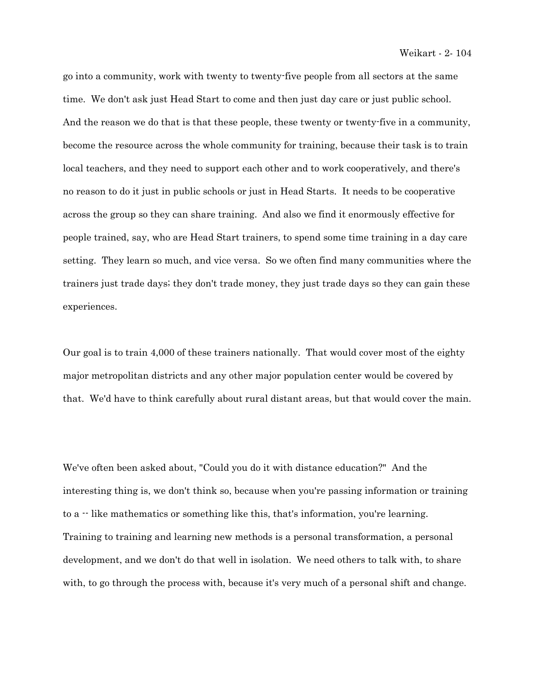go into a community, work with twenty to twenty-five people from all sectors at the same time. We don't ask just Head Start to come and then just day care or just public school. And the reason we do that is that these people, these twenty or twenty-five in a community, become the resource across the whole community for training, because their task is to train local teachers, and they need to support each other and to work cooperatively, and there's no reason to do it just in public schools or just in Head Starts. It needs to be cooperative across the group so they can share training. And also we find it enormously effective for people trained, say, who are Head Start trainers, to spend some time training in a day care setting. They learn so much, and vice versa. So we often find many communities where the trainers just trade days; they don't trade money, they just trade days so they can gain these experiences.

Our goal is to train 4,000 of these trainers nationally. That would cover most of the eighty major metropolitan districts and any other major population center would be covered by that. We'd have to think carefully about rural distant areas, but that would cover the main.

We've often been asked about, "Could you do it with distance education?" And the interesting thing is, we don't think so, because when you're passing information or training to a  $\cdot$  like mathematics or something like this, that's information, you're learning. Training to training and learning new methods is a personal transformation, a personal development, and we don't do that well in isolation. We need others to talk with, to share with, to go through the process with, because it's very much of a personal shift and change.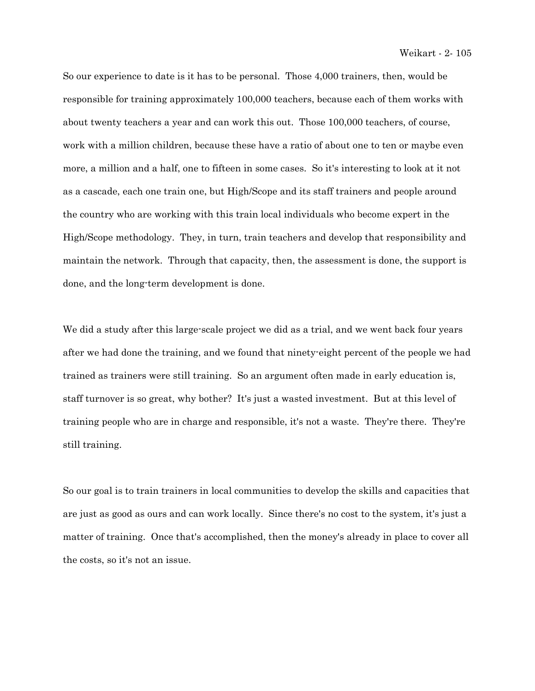So our experience to date is it has to be personal. Those 4,000 trainers, then, would be responsible for training approximately 100,000 teachers, because each of them works with about twenty teachers a year and can work this out. Those 100,000 teachers, of course, work with a million children, because these have a ratio of about one to ten or maybe even more, a million and a half, one to fifteen in some cases. So it's interesting to look at it not as a cascade, each one train one, but High/Scope and its staff trainers and people around the country who are working with this train local individuals who become expert in the High/Scope methodology. They, in turn, train teachers and develop that responsibility and maintain the network. Through that capacity, then, the assessment is done, the support is done, and the long-term development is done.

We did a study after this large-scale project we did as a trial, and we went back four years after we had done the training, and we found that ninety-eight percent of the people we had trained as trainers were still training. So an argument often made in early education is, staff turnover is so great, why bother? It's just a wasted investment. But at this level of training people who are in charge and responsible, it's not a waste. They're there. They're still training.

So our goal is to train trainers in local communities to develop the skills and capacities that are just as good as ours and can work locally. Since there's no cost to the system, it's just a matter of training. Once that's accomplished, then the money's already in place to cover all the costs, so it's not an issue.